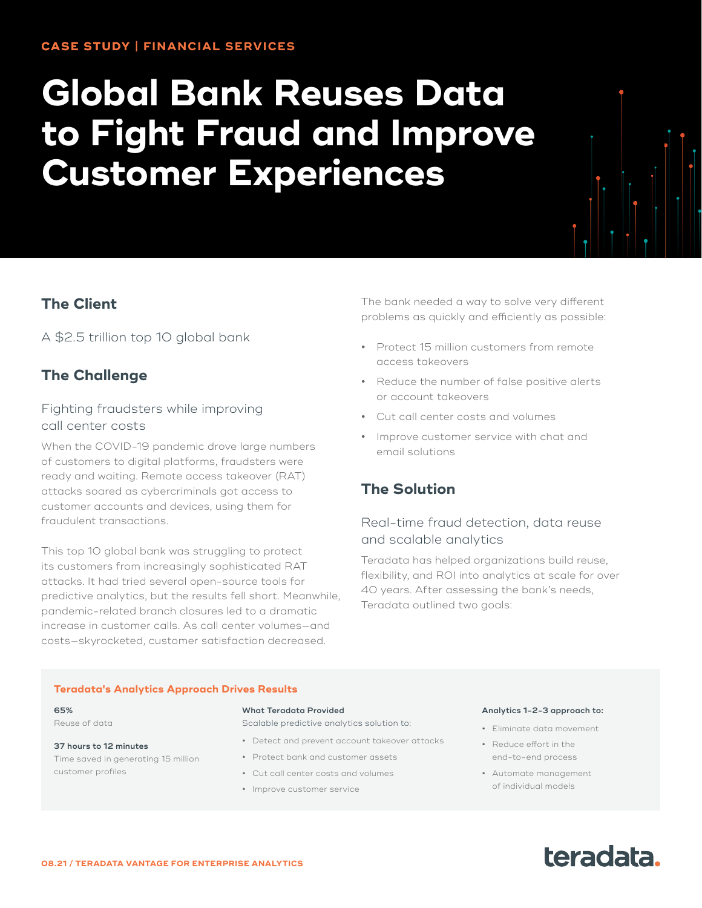# **Global Bank Reuses Data to Fight Fraud and Improve Customer Experiences**

# **The Client**

A \$2.5 trillion top 10 global bank

# **The Challenge**

## Fighting fraudsters while improving call center costs

When the COVID-19 pandemic drove large numbers of customers to digital platforms, fraudsters were ready and waiting. Remote access takeover (RAT) attacks soared as cybercriminals got access to customer accounts and devices, using them for fraudulent transactions.

This top 10 global bank was struggling to protect its customers from increasingly sophisticated RAT attacks. It had tried several open-source tools for predictive analytics, but the results fell short. Meanwhile, pandemic-related branch closures led to a dramatic increase in customer calls. As call center volumes—and costs—skyrocketed, customer satisfaction decreased.

The bank needed a way to solve very different problems as quickly and efficiently as possible:

- **•** Protect 15 million customers from remote access takeovers
- **•** Reduce the number of false positive alerts or account takeovers
- **•** Cut call center costs and volumes
- **•** Improve customer service with chat and email solutions

# **The Solution**

# Real-time fraud detection, data reuse and scalable analytics

Teradata has helped organizations build reuse, flexibility, and ROI into analytics at scale for over 40 years. After assessing the bank's needs, Teradata outlined two goals:

#### **Teradata's Analytics Approach Drives Results**

#### **65%** Reuse of data

#### **37 hours to 12 minutes**

Time saved in generating 15 million customer profiles

#### **What Teradata Provided**

Scalable predictive analytics solution to:

- **•** Detect and prevent account takeover attacks
- **•** Protect bank and customer assets
- **•** Cut call center costs and volumes
- **•** Improve customer service

#### **Analytics 1-2-3 approach to:**

- **•** Eliminate data movement
- **•** Reduce effort in the end-to-end process
- **•** Automate management of individual models

# teradata.